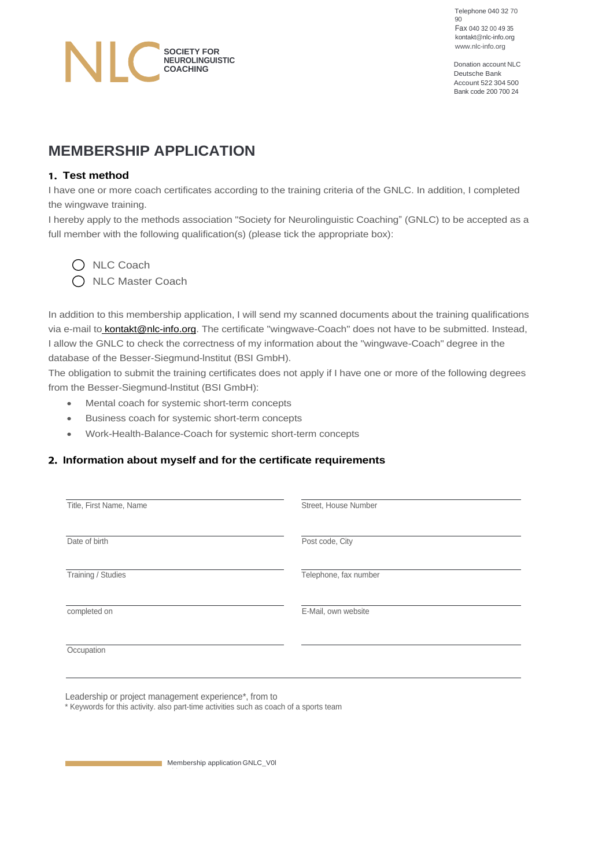Telephone 040 32 70 90 Fax 040 32 00 49 35 [kontakt@nlc-info.org](mailto:kontakt@nlc-info.org)

Deutsche Bank Account 522 304 500 Bank code 200 700 24

# [www.nlc-info.org](http://www.nlc-info.org/) **SOCIETY FOR NEUROLINGUISTIC COACHING** Donation account NLC

# **MEMBERSHIP APPLICATION**

### **Test method**

I have one or more coach certificates according to the training criteria of the GNLC. In addition, I completed the wingwave training.

I hereby apply to the methods association "Society for Neurolinguistic Coaching" (GNLC) to be accepted as a full member with the following qualification(s) (please tick the appropriate box):

O NLC Coach O NLC Master Coach

In addition to this membership application, I will send my scanned documents about the training qualifications via e-mail to **kontakt@nlc-info.org**. The certificate "wingwave-Coach" does not have to be submitted. Instead, I allow the GNLC to check the correctness of my information about the "wingwave-Coach" degree in the database of the Besser-Siegmund-lnstitut (BSI GmbH).

The obligation to submit the training certificates does not apply if I have one or more of the following degrees from the Besser-Siegmund-lnstitut (BSI GmbH):

- Mental coach for systemic short-term concepts
- Business coach for systemic short-term concepts
- Work-Health-Balance-Coach for systemic short-term concepts

## **Information about myself and for the certificate requirements**

| Title, First Name, Name | Street, House Number  |
|-------------------------|-----------------------|
| Date of birth           | Post code, City       |
| Training / Studies      | Telephone, fax number |
| completed on            | E-Mail, own website   |
| Occupation              |                       |

Leadership or project management experience\*, from to

Side 1 / 2

\* Keywords for this activity. also part-time activities such as coach of a sports team

**Membership application GNLC\_V0I**